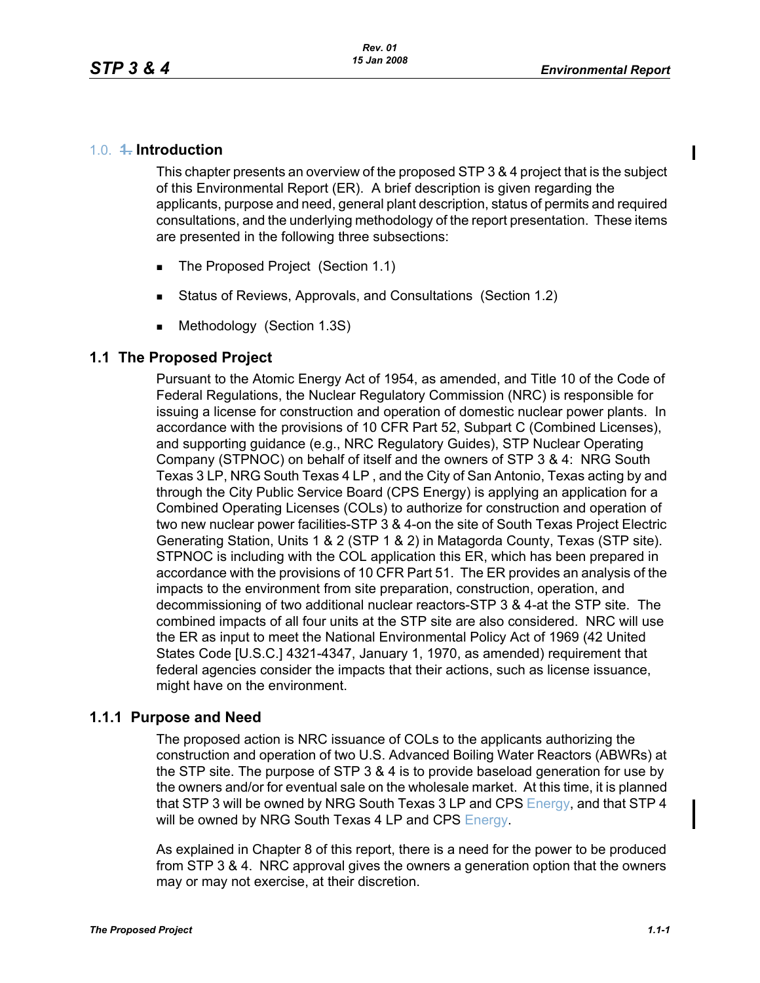#### 1.0. **1. Introduction**

This chapter presents an overview of the proposed STP 3 & 4 project that is the subject of this Environmental Report (ER). A brief description is given regarding the applicants, purpose and need, general plant description, status of permits and required consultations, and the underlying methodology of the report presentation. These items are presented in the following three subsections:

- The Proposed Project (Section 1.1)
- Status of Reviews, Approvals, and Consultations (Section 1.2)
- **Methodology (Section 1.3S)**

#### **1.1 The Proposed Project**

Pursuant to the Atomic Energy Act of 1954, as amended, and Title 10 of the Code of Federal Regulations, the Nuclear Regulatory Commission (NRC) is responsible for issuing a license for construction and operation of domestic nuclear power plants. In accordance with the provisions of 10 CFR Part 52, Subpart C (Combined Licenses), and supporting guidance (e.g., NRC Regulatory Guides), STP Nuclear Operating Company (STPNOC) on behalf of itself and the owners of STP 3 & 4: NRG South Texas 3 LP, NRG South Texas 4 LP , and the City of San Antonio, Texas acting by and through the City Public Service Board (CPS Energy) is applying an application for a Combined Operating Licenses (COLs) to authorize for construction and operation of two new nuclear power facilities-STP 3 & 4-on the site of South Texas Project Electric Generating Station, Units 1 & 2 (STP 1 & 2) in Matagorda County, Texas (STP site). STPNOC is including with the COL application this ER, which has been prepared in accordance with the provisions of 10 CFR Part 51. The ER provides an analysis of the impacts to the environment from site preparation, construction, operation, and decommissioning of two additional nuclear reactors-STP 3 & 4-at the STP site. The combined impacts of all four units at the STP site are also considered. NRC will use the ER as input to meet the National Environmental Policy Act of 1969 (42 United States Code [U.S.C.] 4321-4347, January 1, 1970, as amended) requirement that federal agencies consider the impacts that their actions, such as license issuance, might have on the environment.

#### **1.1.1 Purpose and Need**

The proposed action is NRC issuance of COLs to the applicants authorizing the construction and operation of two U.S. Advanced Boiling Water Reactors (ABWRs) at the STP site. The purpose of STP 3 & 4 is to provide baseload generation for use by the owners and/or for eventual sale on the wholesale market. At this time, it is planned that STP 3 will be owned by NRG South Texas 3 LP and CPS Energy, and that STP 4 will be owned by NRG South Texas 4 LP and CPS Energy.

As explained in Chapter 8 of this report, there is a need for the power to be produced from STP 3 & 4. NRC approval gives the owners a generation option that the owners may or may not exercise, at their discretion.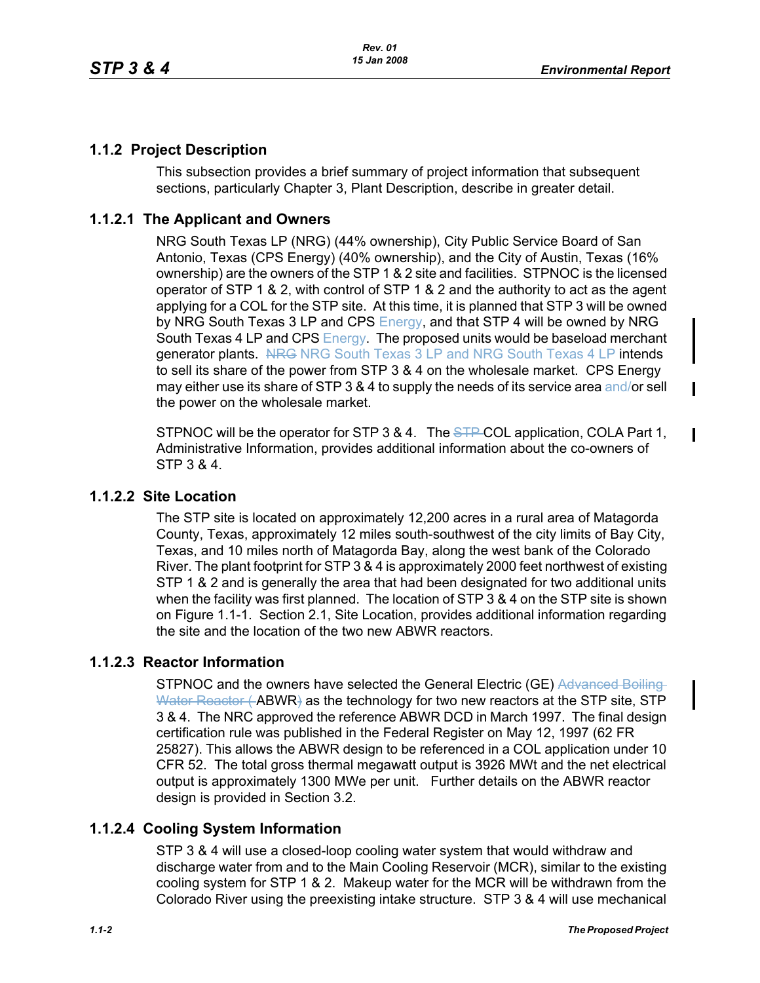$\blacksquare$ 

 $\mathbf I$ 

## **1.1.2 Project Description**

This subsection provides a brief summary of project information that subsequent sections, particularly Chapter 3, Plant Description, describe in greater detail.

## **1.1.2.1 The Applicant and Owners**

NRG South Texas LP (NRG) (44% ownership), City Public Service Board of San Antonio, Texas (CPS Energy) (40% ownership), and the City of Austin, Texas (16% ownership) are the owners of the STP 1 & 2 site and facilities. STPNOC is the licensed operator of STP 1 & 2, with control of STP 1 & 2 and the authority to act as the agent applying for a COL for the STP site. At this time, it is planned that STP 3 will be owned by NRG South Texas 3 LP and CPS Energy, and that STP 4 will be owned by NRG South Texas 4 LP and CPS Energy. The proposed units would be baseload merchant generator plants. NRG NRG South Texas 3 LP and NRG South Texas 4 LP intends to sell its share of the power from STP 3 & 4 on the wholesale market. CPS Energy may either use its share of STP 3 & 4 to supply the needs of its service area and/or sell the power on the wholesale market.

STPNOC will be the operator for STP 3 & 4. The STP-COL application, COLA Part 1, Administrative Information, provides additional information about the co-owners of STP 3 & 4.

### **1.1.2.2 Site Location**

The STP site is located on approximately 12,200 acres in a rural area of Matagorda County, Texas, approximately 12 miles south-southwest of the city limits of Bay City, Texas, and 10 miles north of Matagorda Bay, along the west bank of the Colorado River. The plant footprint for STP 3 & 4 is approximately 2000 feet northwest of existing STP 1 & 2 and is generally the area that had been designated for two additional units when the facility was first planned. The location of STP 3 & 4 on the STP site is shown on Figure 1.1-1. Section 2.1, Site Location, provides additional information regarding the site and the location of the two new ABWR reactors.

### **1.1.2.3 Reactor Information**

STPNOC and the owners have selected the General Electric (GE) Advanced Boiling Water Reactor (ABWR) as the technology for two new reactors at the STP site, STP 3 & 4. The NRC approved the reference ABWR DCD in March 1997. The final design certification rule was published in the Federal Register on May 12, 1997 (62 FR 25827). This allows the ABWR design to be referenced in a COL application under 10 CFR 52. The total gross thermal megawatt output is 3926 MWt and the net electrical output is approximately 1300 MWe per unit. Further details on the ABWR reactor design is provided in Section 3.2.

# **1.1.2.4 Cooling System Information**

STP 3 & 4 will use a closed-loop cooling water system that would withdraw and discharge water from and to the Main Cooling Reservoir (MCR), similar to the existing cooling system for STP 1 & 2. Makeup water for the MCR will be withdrawn from the Colorado River using the preexisting intake structure. STP 3 & 4 will use mechanical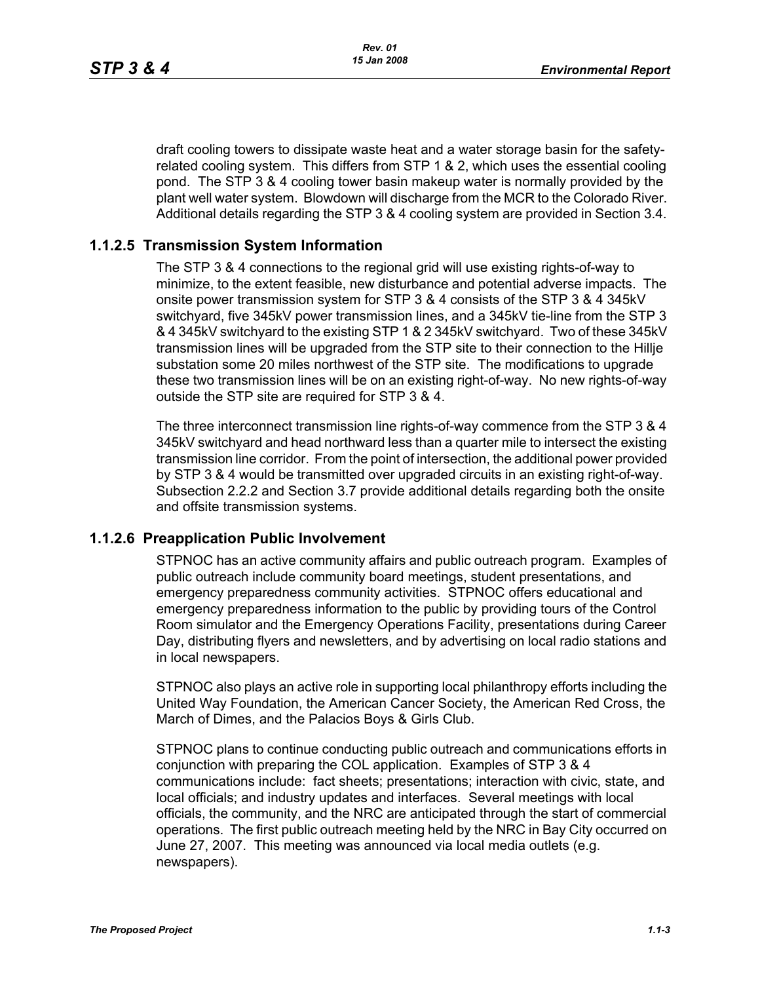draft cooling towers to dissipate waste heat and a water storage basin for the safetyrelated cooling system. This differs from STP 1 & 2, which uses the essential cooling pond. The STP 3 & 4 cooling tower basin makeup water is normally provided by the plant well water system. Blowdown will discharge from the MCR to the Colorado River. Additional details regarding the STP 3 & 4 cooling system are provided in Section 3.4.

### **1.1.2.5 Transmission System Information**

The STP 3 & 4 connections to the regional grid will use existing rights-of-way to minimize, to the extent feasible, new disturbance and potential adverse impacts. The onsite power transmission system for STP 3 & 4 consists of the STP 3 & 4 345kV switchyard, five 345kV power transmission lines, and a 345kV tie-line from the STP 3 & 4 345kV switchyard to the existing STP 1 & 2 345kV switchyard. Two of these 345kV transmission lines will be upgraded from the STP site to their connection to the Hillje substation some 20 miles northwest of the STP site. The modifications to upgrade these two transmission lines will be on an existing right-of-way. No new rights-of-way outside the STP site are required for STP 3 & 4.

The three interconnect transmission line rights-of-way commence from the STP 3 & 4 345kV switchyard and head northward less than a quarter mile to intersect the existing transmission line corridor. From the point of intersection, the additional power provided by STP 3 & 4 would be transmitted over upgraded circuits in an existing right-of-way. Subsection 2.2.2 and Section 3.7 provide additional details regarding both the onsite and offsite transmission systems.

### **1.1.2.6 Preapplication Public Involvement**

STPNOC has an active community affairs and public outreach program. Examples of public outreach include community board meetings, student presentations, and emergency preparedness community activities. STPNOC offers educational and emergency preparedness information to the public by providing tours of the Control Room simulator and the Emergency Operations Facility, presentations during Career Day, distributing flyers and newsletters, and by advertising on local radio stations and in local newspapers.

STPNOC also plays an active role in supporting local philanthropy efforts including the United Way Foundation, the American Cancer Society, the American Red Cross, the March of Dimes, and the Palacios Boys & Girls Club.

STPNOC plans to continue conducting public outreach and communications efforts in conjunction with preparing the COL application. Examples of STP 3 & 4 communications include: fact sheets; presentations; interaction with civic, state, and local officials; and industry updates and interfaces. Several meetings with local officials, the community, and the NRC are anticipated through the start of commercial operations. The first public outreach meeting held by the NRC in Bay City occurred on June 27, 2007. This meeting was announced via local media outlets (e.g. newspapers).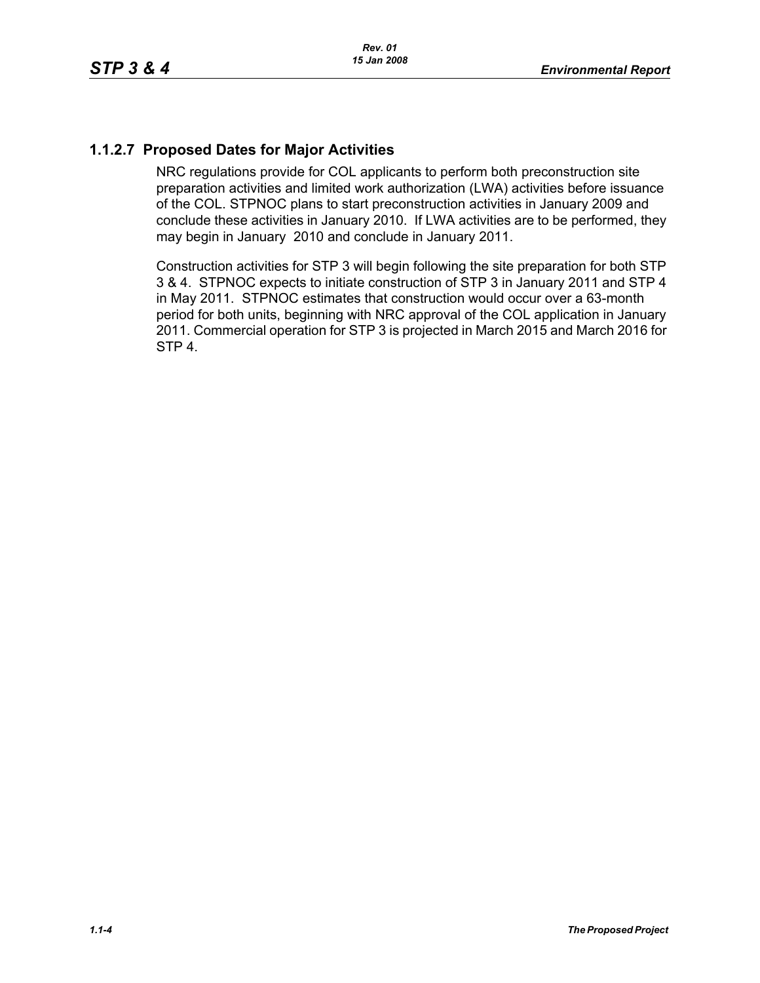## **1.1.2.7 Proposed Dates for Major Activities**

NRC regulations provide for COL applicants to perform both preconstruction site preparation activities and limited work authorization (LWA) activities before issuance of the COL. STPNOC plans to start preconstruction activities in January 2009 and conclude these activities in January 2010. If LWA activities are to be performed, they may begin in January 2010 and conclude in January 2011.

Construction activities for STP 3 will begin following the site preparation for both STP 3 & 4. STPNOC expects to initiate construction of STP 3 in January 2011 and STP 4 in May 2011. STPNOC estimates that construction would occur over a 63-month period for both units, beginning with NRC approval of the COL application in January 2011. Commercial operation for STP 3 is projected in March 2015 and March 2016 for STP 4.